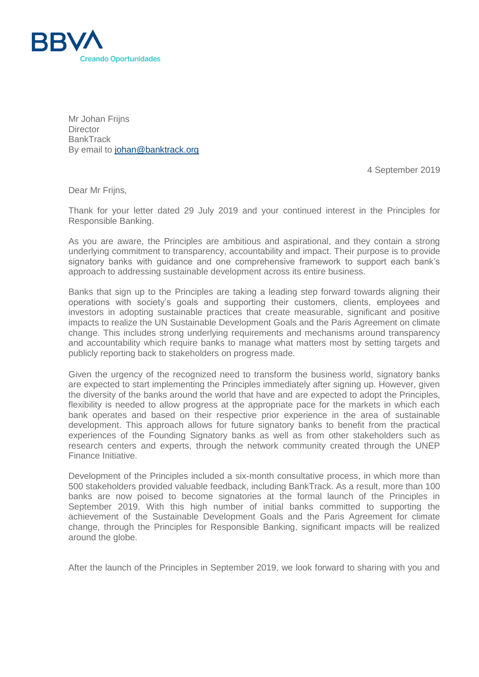

Mr Johan Frijns **Director BankTrack** By email to [johan@banktrack.org](mailto:johan@banktrack.org)

4 September 2019

Dear Mr Friins.

Thank for your letter dated 29 July 2019 and your continued interest in the Principles for Responsible Banking.

As you are aware, the Principles are ambitious and aspirational, and they contain a strong underlying commitment to transparency, accountability and impact. Their purpose is to provide signatory banks with guidance and one comprehensive framework to support each bank's approach to addressing sustainable development across its entire business.

Banks that sign up to the Principles are taking a leading step forward towards aligning their operations with society's goals and supporting their customers, clients, employees and investors in adopting sustainable practices that create measurable, significant and positive impacts to realize the UN Sustainable Development Goals and the Paris Agreement on climate change. This includes strong underlying requirements and mechanisms around transparency and accountability which require banks to manage what matters most by setting targets and publicly reporting back to stakeholders on progress made.

Given the urgency of the recognized need to transform the business world, signatory banks are expected to start implementing the Principles immediately after signing up. However, given the diversity of the banks around the world that have and are expected to adopt the Principles, flexibility is needed to allow progress at the appropriate pace for the markets in which each bank operates and based on their respective prior experience in the area of sustainable development. This approach allows for future signatory banks to benefit from the practical experiences of the Founding Signatory banks as well as from other stakeholders such as research centers and experts, through the network community created through the UNEP Finance Initiative.

Development of the Principles included a six-month consultative process, in which more than 500 stakeholders provided valuable feedback, including BankTrack. As a result, more than 100 banks are now poised to become signatories at the formal launch of the Principles in September 2019. With this high number of initial banks committed to supporting the achievement of the Sustainable Development Goals and the Paris Agreement for climate change, through the Principles for Responsible Banking, significant impacts will be realized around the globe.

After the launch of the Principles in September 2019, we look forward to sharing with you and